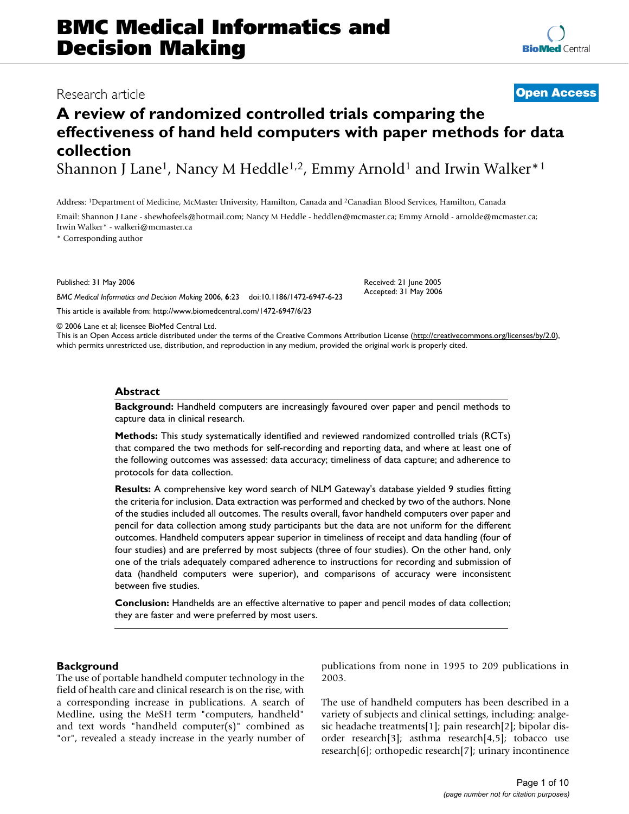# **BMC Medical Informatics and Decision Making**

# Research article **[Open Access](http://www.biomedcentral.com/info/about/charter/)**

# **A review of randomized controlled trials comparing the effectiveness of hand held computers with paper methods for data collection**

Shannon J Lane<sup>1</sup>, Nancy M Heddle<sup>1,2</sup>, Emmy Arnold<sup>1</sup> and Irwin Walker<sup>\*1</sup>

Address: 1Department of Medicine, McMaster University, Hamilton, Canada and 2Canadian Blood Services, Hamilton, Canada

Email: Shannon J Lane - shewhofeels@hotmail.com; Nancy M Heddle - heddlen@mcmaster.ca; Emmy Arnold - arnolde@mcmaster.ca;

\* Corresponding author

Published: 31 May 2006

*BMC Medical Informatics and Decision Making* 2006, **6**:23 doi:10.1186/1472-6947-6-23

[This article is available from: http://www.biomedcentral.com/1472-6947/6/23](http://www.biomedcentral.com/1472-6947/6/23)

© 2006 Lane et al; licensee BioMed Central Ltd.

This is an Open Access article distributed under the terms of the Creative Commons Attribution License [\(http://creativecommons.org/licenses/by/2.0\)](http://creativecommons.org/licenses/by/2.0), which permits unrestricted use, distribution, and reproduction in any medium, provided the original work is properly cited.

#### **Abstract**

**Background:** Handheld computers are increasingly favoured over paper and pencil methods to capture data in clinical research.

**Methods:** This study systematically identified and reviewed randomized controlled trials (RCTs) that compared the two methods for self-recording and reporting data, and where at least one of the following outcomes was assessed: data accuracy; timeliness of data capture; and adherence to protocols for data collection.

**Results:** A comprehensive key word search of NLM Gateway's database yielded 9 studies fitting the criteria for inclusion. Data extraction was performed and checked by two of the authors. None of the studies included all outcomes. The results overall, favor handheld computers over paper and pencil for data collection among study participants but the data are not uniform for the different outcomes. Handheld computers appear superior in timeliness of receipt and data handling (four of four studies) and are preferred by most subjects (three of four studies). On the other hand, only one of the trials adequately compared adherence to instructions for recording and submission of data (handheld computers were superior), and comparisons of accuracy were inconsistent between five studies.

**Conclusion:** Handhelds are an effective alternative to paper and pencil modes of data collection; they are faster and were preferred by most users.

#### **Background**

The use of portable handheld computer technology in the field of health care and clinical research is on the rise, with a corresponding increase in publications. A search of Medline, using the MeSH term "computers, handheld" and text words "handheld computer(s)" combined as "or", revealed a steady increase in the yearly number of publications from none in 1995 to 209 publications in 2003.

The use of handheld computers has been described in a variety of subjects and clinical settings, including: analgesic headache treatments[1]; pain research[2]; bipolar disorder research[3]; asthma research[4,5]; tobacco use research[6]; orthopedic research[7]; urinary incontinence

Received: 21 June 2005 Accepted: 31 May 2006

Irwin Walker\* - walkeri@mcmaster.ca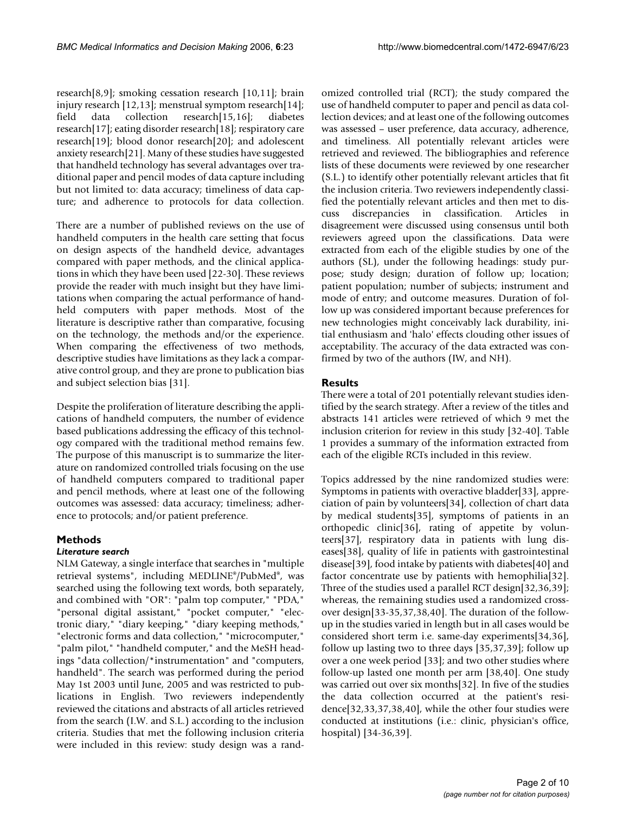research[8,9]; smoking cessation research [10,11]; brain injury research [12,13]; menstrual symptom research[14]; field data collection research[15,16]; diabetes research[17]; eating disorder research[18]; respiratory care research[19]; blood donor research[20]; and adolescent anxiety research[21]. Many of these studies have suggested that handheld technology has several advantages over traditional paper and pencil modes of data capture including but not limited to: data accuracy; timeliness of data capture; and adherence to protocols for data collection.

There are a number of published reviews on the use of handheld computers in the health care setting that focus on design aspects of the handheld device, advantages compared with paper methods, and the clinical applications in which they have been used [22-30]. These reviews provide the reader with much insight but they have limitations when comparing the actual performance of handheld computers with paper methods. Most of the literature is descriptive rather than comparative, focusing on the technology, the methods and/or the experience. When comparing the effectiveness of two methods, descriptive studies have limitations as they lack a comparative control group, and they are prone to publication bias and subject selection bias [31].

Despite the proliferation of literature describing the applications of handheld computers, the number of evidence based publications addressing the efficacy of this technology compared with the traditional method remains few. The purpose of this manuscript is to summarize the literature on randomized controlled trials focusing on the use of handheld computers compared to traditional paper and pencil methods, where at least one of the following outcomes was assessed: data accuracy; timeliness; adherence to protocols; and/or patient preference.

## **Methods**

## *Literature search*

NLM Gateway, a single interface that searches in "multiple retrieval systems", including MEDLINE®/PubMed®, was searched using the following text words, both separately, and combined with "OR": "palm top computer," "PDA," "personal digital assistant," "pocket computer," "electronic diary," "diary keeping," "diary keeping methods," "electronic forms and data collection," "microcomputer," "palm pilot," "handheld computer," and the MeSH headings "data collection/\*instrumentation" and "computers, handheld". The search was performed during the period May 1st 2003 until June, 2005 and was restricted to publications in English. Two reviewers independently reviewed the citations and abstracts of all articles retrieved from the search (I.W. and S.L.) according to the inclusion criteria. Studies that met the following inclusion criteria were included in this review: study design was a randomized controlled trial (RCT); the study compared the use of handheld computer to paper and pencil as data collection devices; and at least one of the following outcomes was assessed – user preference, data accuracy, adherence, and timeliness. All potentially relevant articles were retrieved and reviewed. The bibliographies and reference lists of these documents were reviewed by one researcher (S.L.) to identify other potentially relevant articles that fit the inclusion criteria. Two reviewers independently classified the potentially relevant articles and then met to discuss discrepancies in classification. Articles in disagreement were discussed using consensus until both reviewers agreed upon the classifications. Data were extracted from each of the eligible studies by one of the authors (SL), under the following headings: study purpose; study design; duration of follow up; location; patient population; number of subjects; instrument and mode of entry; and outcome measures. Duration of follow up was considered important because preferences for new technologies might conceivably lack durability, initial enthusiasm and 'halo' effects clouding other issues of acceptability. The accuracy of the data extracted was confirmed by two of the authors (IW, and NH).

# **Results**

There were a total of 201 potentially relevant studies identified by the search strategy. After a review of the titles and abstracts 141 articles were retrieved of which 9 met the inclusion criterion for review in this study [32-40]. Table 1 provides a summary of the information extracted from each of the eligible RCTs included in this review.

Topics addressed by the nine randomized studies were: Symptoms in patients with overactive bladder[33], appreciation of pain by volunteers[34], collection of chart data by medical students[35], symptoms of patients in an orthopedic clinic[36], rating of appetite by volunteers[37], respiratory data in patients with lung diseases[38], quality of life in patients with gastrointestinal disease[39], food intake by patients with diabetes[40] and factor concentrate use by patients with hemophilia[32]. Three of the studies used a parallel RCT design[32,36,39]; whereas, the remaining studies used a randomized crossover design[33-35,37,38,40]. The duration of the followup in the studies varied in length but in all cases would be considered short term i.e. same-day experiments[34,36], follow up lasting two to three days [35,37,39]; follow up over a one week period [33]; and two other studies where follow-up lasted one month per arm [38,40]. One study was carried out over six months[32]. In five of the studies the data collection occurred at the patient's residence[32,33,37,38,40], while the other four studies were conducted at institutions (i.e.: clinic, physician's office, hospital) [34-36,39].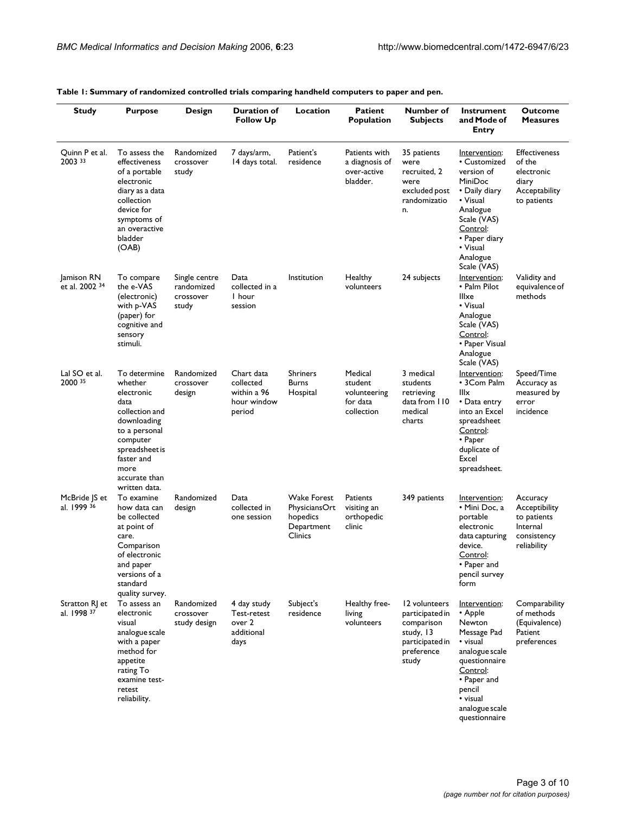| <b>Study</b>                  | <b>Purpose</b>                                                                                                                                                                        | Design                                            | Duration of<br><b>Follow Up</b>                                 | Location                                                                 | <b>Patient</b><br><b>Population</b>                          | Number of<br><b>Subjects</b>                                                                          | Instrument<br>and Mode of                                                                                                                                                            | Outcome<br><b>Measures</b>                                                            |
|-------------------------------|---------------------------------------------------------------------------------------------------------------------------------------------------------------------------------------|---------------------------------------------------|-----------------------------------------------------------------|--------------------------------------------------------------------------|--------------------------------------------------------------|-------------------------------------------------------------------------------------------------------|--------------------------------------------------------------------------------------------------------------------------------------------------------------------------------------|---------------------------------------------------------------------------------------|
|                               |                                                                                                                                                                                       |                                                   |                                                                 |                                                                          |                                                              |                                                                                                       | <b>Entry</b>                                                                                                                                                                         |                                                                                       |
| Quinn P et al.<br>2003 33     | To assess the<br>effectiveness<br>of a portable<br>electronic<br>diary as a data<br>collection<br>device for<br>symptoms of<br>an overactive<br>bladder<br>(OAB)                      | Randomized<br>crossover<br>study                  | 7 days/arm,<br>14 days total.                                   | Patient's<br>residence                                                   | Patients with<br>a diagnosis of<br>over-active<br>bladder.   | 35 patients<br>were<br>recruited, 2<br>were<br>excluded post<br>randomizatio<br>n.                    | Intervention:<br>• Customized<br>version of<br>MiniDoc<br>• Daily diary<br>• Visual<br>Analogue<br>Scale (VAS)<br>Control:<br>• Paper diary<br>• Visual<br>Analogue<br>Scale (VAS)   | <b>Effectiveness</b><br>of the<br>electronic<br>diary<br>Acceptability<br>to patients |
| Jamison RN<br>et al. 2002 34  | To compare<br>the e-VAS<br>(electronic)<br>with p-VAS<br>(paper) for<br>cognitive and<br>sensory<br>stimuli.                                                                          | Single centre<br>randomized<br>crossover<br>study | Data<br>collected in a<br>I hour<br>session                     | Institution                                                              | Healthy<br>volunteers                                        | 24 subjects                                                                                           | Intervention:<br>• Palm Pilot<br>Illxe<br>• Visual<br>Analogue<br>Scale (VAS)<br>Control:<br>• Paper Visual<br>Analogue<br>Scale (VAS)                                               | Validity and<br>equivalence of<br>methods                                             |
| Lal SO et al.<br>2000 35      | To determine<br>whether<br>electronic<br>data<br>collection and<br>downloading<br>to a personal<br>computer<br>spreadsheet is<br>faster and<br>more<br>accurate than<br>written data. | Randomized<br>crossover<br>design                 | Chart data<br>collected<br>within a 96<br>hour window<br>period | <b>Shriners</b><br><b>Burns</b><br>Hospital                              | Medical<br>student<br>volunteering<br>for data<br>collection | 3 medical<br>students<br>retrieving<br>data from 110<br>medical<br>charts                             | Intervention:<br>• 3Com Palm<br>lllx<br>• Data entry<br>into an Excel<br>spreadsheet<br>Control:<br>• Paper<br>duplicate of<br>Excel<br>spreadsheet.                                 | Speed/Time<br>Accuracy as<br>measured by<br>error<br>incidence                        |
| McBride JS et<br>al. 1999 36  | To examine<br>how data can<br>be collected<br>at point of<br>care.<br>Comparison<br>of electronic<br>and paper<br>versions of a<br>standard<br>quality survey.                        | Randomized<br>design                              | Data<br>collected in<br>one session                             | <b>Wake Forest</b><br>PhysiciansOrt<br>hopedics<br>Department<br>Clinics | Patients<br>visiting an<br>orthopedic<br>clinic              | 349 patients                                                                                          | Intervention:<br>• Mini Doc, a<br>portable<br>electronic<br>data capturing<br>device.<br>Control:<br>• Paper and<br>pencil survey<br>form                                            | Accuracy<br>Acceptibility<br>to patients<br>Internal<br>consistency<br>reliability    |
| Stratton RJ et<br>al. 1998 37 | To assess an<br>electronic<br>visual<br>analogue scale<br>with a paper<br>method for<br>appetite<br>rating To<br>examine test-<br>retest<br>reliability.                              | Randomized<br>crossover<br>study design           | 4 day study<br>Test-retest<br>over 2<br>additional<br>days      | Subject's<br>residence                                                   | Healthy free-<br>living<br>volunteers                        | 12 volunteers<br>participated in<br>comparison<br>study, 13<br>participated in<br>preference<br>study | Intervention:<br>• Apple<br>Newton<br>Message Pad<br>• visual<br>analogue scale<br>questionnaire<br>Control:<br>• Paper and<br>pencil<br>• visual<br>analogue scale<br>questionnaire | Comparability<br>of methods<br>(Equivalence)<br>Patient<br>preferences                |

#### **Table 1: Summary of randomized controlled trials comparing handheld computers to paper and pen.**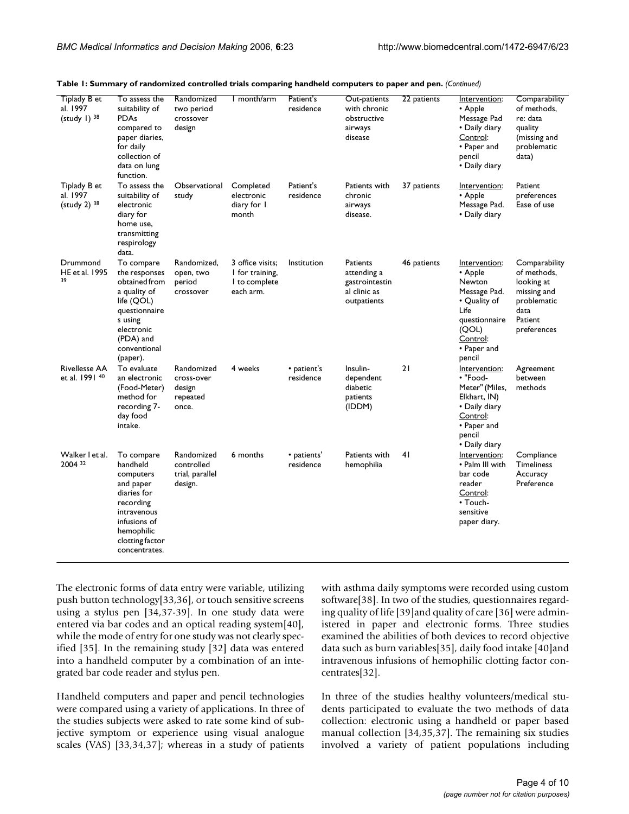| Tiplady B et<br>al. 1997<br>(statdy 1) <sup>38</sup> | To assess the<br>suitability of<br><b>PDAs</b><br>compared to<br>paper diaries,<br>for daily<br>collection of<br>data on lung<br>function.                    | Randomized<br>two period<br>crossover<br>design         | I month/arm                                                       | Patient's<br>residence   | Out-patients<br>with chronic<br>obstructive<br>airways<br>disease        | 22 patients | Intervention:<br>• Apple<br>Message Pad<br>• Daily diary<br>Control:<br>• Paper and<br>pencil<br>• Daily diary                                  | Comparability<br>of methods,<br>re: data<br>quality<br>(missing and<br>problematic<br>data)                |
|------------------------------------------------------|---------------------------------------------------------------------------------------------------------------------------------------------------------------|---------------------------------------------------------|-------------------------------------------------------------------|--------------------------|--------------------------------------------------------------------------|-------------|-------------------------------------------------------------------------------------------------------------------------------------------------|------------------------------------------------------------------------------------------------------------|
| Tiplady B et<br>al. 1997<br>(study 2) $38$           | To assess the<br>suitability of<br>electronic<br>diary for<br>home use,<br>transmitting<br>respirology<br>data.                                               | Observational<br>study                                  | Completed<br>electronic<br>diary for 1<br>month                   | Patient's<br>residence   | Patients with<br>chronic<br>airways<br>disease.                          | 37 patients | Intervention:<br>• Apple<br>Message Pad.<br>• Daily diary                                                                                       | Patient<br>preferences<br>Ease of use                                                                      |
| Drummond<br>HE et al. 1995<br>39                     | To compare<br>the responses<br>obtained from<br>a quality of<br>life (QOL)<br>questionnaire<br>s using<br>electronic<br>(PDA) and<br>conventional<br>(paper). | Randomized,<br>open, two<br>period<br>crossover         | 3 office visits;<br>I for training,<br>I to complete<br>each arm. | Institution              | Patients<br>attending a<br>gastrointestin<br>al clinic as<br>outpatients | 46 patients | Intervention:<br>• Apple<br>Newton<br>Message Pad.<br>$\cdot$ Quality of<br>Life<br>questionnaire<br>(QOL)<br>Control:<br>• Paper and<br>pencil | Comparability<br>of methods,<br>looking at<br>missing and<br>problematic<br>data<br>Patient<br>preferences |
| <b>Rivellesse AA</b><br>et al. 1991 40               | To evaluate<br>an electronic<br>(Food-Meter)<br>method for<br>recording 7-<br>day food<br>intake.                                                             | Randomized<br>cross-over<br>design<br>repeated<br>once. | 4 weeks                                                           | • patient's<br>residence | Insulin-<br>dependent<br>diabetic<br>patients<br>(IDDM)                  | 21          | Intervention:<br>• "Food-<br>Meter" (Miles,<br>Elkhart, IN)<br>• Daily diary<br>Control:<br>• Paper and<br>pencil<br>• Daily diary              | Agreement<br>between<br>methods                                                                            |
| Walker I et al.<br>2004 32                           | To compare<br>handheld<br>computers<br>and paper<br>diaries for<br>recording<br>intravenous<br>infusions of<br>hemophilic<br>clotting factor<br>concentrates. | Randomized<br>controlled<br>trial, parallel<br>design.  | 6 months                                                          | • patients'<br>residence | Patients with<br>hemophilia                                              | 41          | Intervention:<br>• Palm III with<br>bar code<br>reader<br>Control:<br>$\cdot$ Touch-<br>sensitive<br>paper diary.                               | Compliance<br><b>Timeliness</b><br>Accuracy<br>Preference                                                  |

**Table 1: Summary of randomized controlled trials comparing handheld computers to paper and pen.** *(Continued)*

The electronic forms of data entry were variable, utilizing push button technology[33,36], or touch sensitive screens using a stylus pen [34,37-39]. In one study data were entered via bar codes and an optical reading system[40], while the mode of entry for one study was not clearly specified [35]. In the remaining study [32] data was entered into a handheld computer by a combination of an integrated bar code reader and stylus pen.

Handheld computers and paper and pencil technologies were compared using a variety of applications. In three of the studies subjects were asked to rate some kind of subjective symptom or experience using visual analogue scales (VAS) [33,34,37]; whereas in a study of patients with asthma daily symptoms were recorded using custom software[38]. In two of the studies, questionnaires regarding quality of life [39]and quality of care [36] were administered in paper and electronic forms. Three studies examined the abilities of both devices to record objective data such as burn variables[35], daily food intake [40]and intravenous infusions of hemophilic clotting factor concentrates[32].

In three of the studies healthy volunteers/medical students participated to evaluate the two methods of data collection: electronic using a handheld or paper based manual collection [34,35,37]. The remaining six studies involved a variety of patient populations including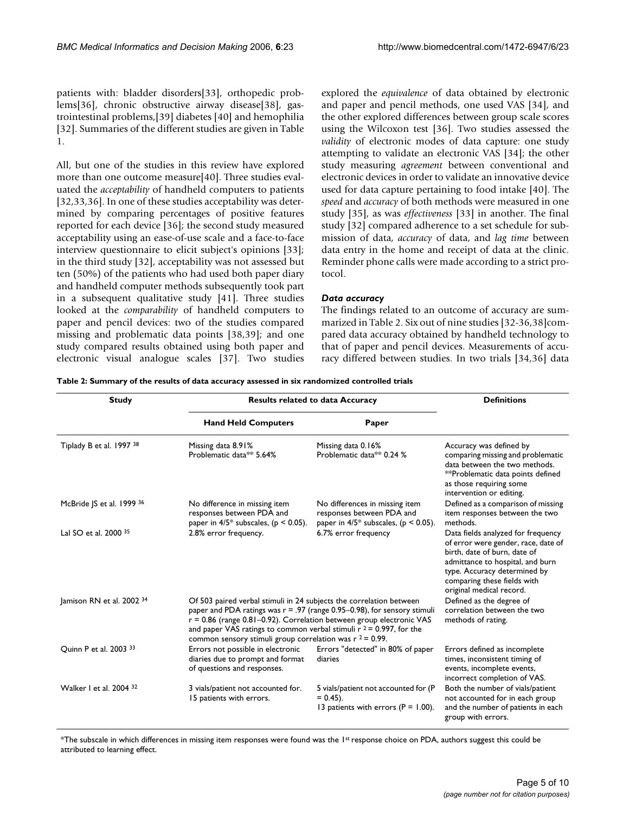patients with: bladder disorders[33], orthopedic problems[36], chronic obstructive airway disease[38], gastrointestinal problems,[39] diabetes [40] and hemophilia [32]. Summaries of the different studies are given in Table 1.

All, but one of the studies in this review have explored more than one outcome measure[40]. Three studies evaluated the *acceptability* of handheld computers to patients [32,33,36]. In one of these studies acceptability was determined by comparing percentages of positive features reported for each device [36]; the second study measured acceptability using an ease-of-use scale and a face-to-face interview questionnaire to elicit subject's opinions [33]; in the third study [32], acceptability was not assessed but ten (50%) of the patients who had used both paper diary and handheld computer methods subsequently took part in a subsequent qualitative study [41]. Three studies looked at the *comparability* of handheld computers to paper and pencil devices: two of the studies compared missing and problematic data points [38,39]; and one study compared results obtained using both paper and electronic visual analogue scales [37]. Two studies explored the *equivalence* of data obtained by electronic and paper and pencil methods, one used VAS [34], and the other explored differences between group scale scores using the Wilcoxon test [36]. Two studies assessed the *validity* of electronic modes of data capture: one study attempting to validate an electronic VAS [34]; the other study measuring *agreement* between conventional and electronic devices in order to validate an innovative device used for data capture pertaining to food intake [40]. The *speed* and *accuracy* of both methods were measured in one study [35], as was *effectiveness* [33] in another. The final study [32] compared adherence to a set schedule for submission of data, *accuracy* of data, and *lag time* between data entry in the home and receipt of data at the clinic. Reminder phone calls were made according to a strict protocol.

#### *Data accuracy*

The findings related to an outcome of accuracy are summarized in Table 2. Six out of nine studies [32-36,38]compared data accuracy obtained by handheld technology to that of paper and pencil devices. Measurements of accuracy differed between studies. In two trials [34,36] data

| Table 2: Summary of the results of data accuracy assessed in six randomized controlled trials |  |
|-----------------------------------------------------------------------------------------------|--|
|-----------------------------------------------------------------------------------------------|--|

| <b>Study</b>              | <b>Results related to data Accuracy</b>                                                                                                                                                                                                                                                                                                                                 | <b>Definitions</b>                                                                                     |                                                                                                                                                                                                                                          |
|---------------------------|-------------------------------------------------------------------------------------------------------------------------------------------------------------------------------------------------------------------------------------------------------------------------------------------------------------------------------------------------------------------------|--------------------------------------------------------------------------------------------------------|------------------------------------------------------------------------------------------------------------------------------------------------------------------------------------------------------------------------------------------|
|                           | <b>Hand Held Computers</b>                                                                                                                                                                                                                                                                                                                                              | Paper                                                                                                  |                                                                                                                                                                                                                                          |
| Tiplady B et al. 1997 38  | Missing data 8.91%<br>Problematic data <sup>**</sup> 5.64%                                                                                                                                                                                                                                                                                                              | Missing data 0.16%<br>Problematic data <sup>**</sup> 0.24 %                                            | Accuracy was defined by<br>comparing missing and problematic<br>data between the two methods.<br>**Problematic data points defined<br>as those requiring some<br>intervention or editing.                                                |
| McBride JS et al. 1999 36 | No difference in missing item<br>responses between PDA and<br>paper in $4/5$ * subscales, (p < 0.05).                                                                                                                                                                                                                                                                   | No differences in missing item<br>responses between PDA and<br>paper in $4/5$ * subscales, (p < 0.05). | Defined as a comparison of missing<br>item responses between the two<br>methods.                                                                                                                                                         |
| Lal SO et al. 2000 35     | 2.8% error frequency.                                                                                                                                                                                                                                                                                                                                                   | 6.7% error frequency                                                                                   | Data fields analyzed for frequency<br>of error were gender, race, date of<br>birth, date of burn, date of<br>admittance to hospital, and burn<br>type. Accuracy determined by<br>comparing these fields with<br>original medical record. |
| Jamison RN et al. 2002 34 | Of 503 paired verbal stimuli in 24 subjects the correlation between<br>paper and PDA ratings was $r = .97$ (range 0.95–0.98), for sensory stimuli<br>$r = 0.86$ (range $0.81 - 0.92$ ). Correlation between group electronic VAS<br>and paper VAS ratings to common verbal stimuli $r^2$ = 0.997, for the<br>common sensory stimuli group correlation was $r^2$ = 0.99. | Defined as the degree of<br>correlation between the two<br>methods of rating.                          |                                                                                                                                                                                                                                          |
| Quinn P et al. 2003 33    | Errors not possible in electronic<br>diaries due to prompt and format<br>of questions and responses.                                                                                                                                                                                                                                                                    | Errors "detected" in 80% of paper<br>diaries                                                           | Errors defined as incomplete<br>times, inconsistent timing of<br>events, incomplete events,<br>incorrect completion of VAS.                                                                                                              |
| Walker I et al. 2004 32   | 3 vials/patient not accounted for.<br>15 patients with errors.                                                                                                                                                                                                                                                                                                          | 5 vials/patient not accounted for (P<br>$= 0.45$ ).<br>13 patients with errors ( $P = 1.00$ ).         | Both the number of vials/patient<br>not accounted for in each group<br>and the number of patients in each<br>group with errors.                                                                                                          |

\*The subscale in which differences in missing item responses were found was the 1<sup>st</sup> response choice on PDA, authors suggest this could be attributed to learning effect.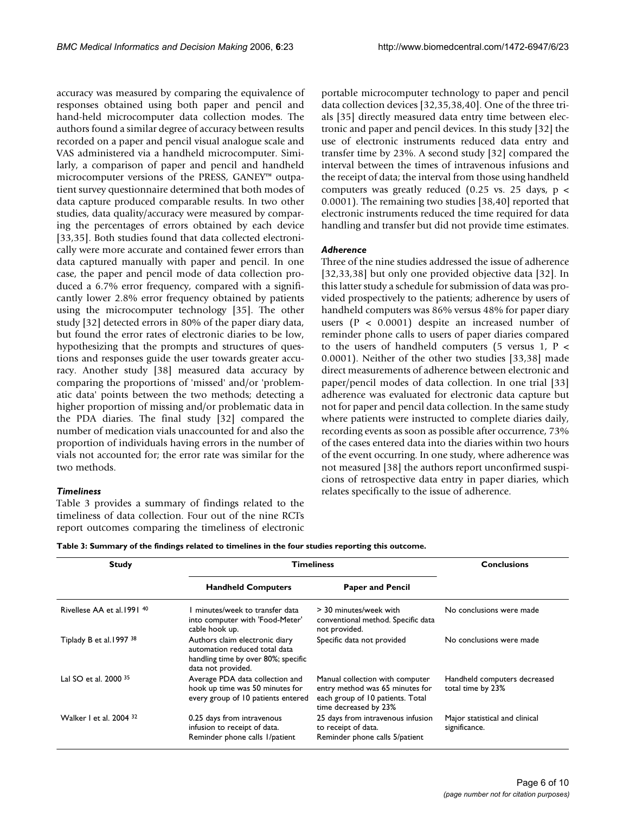accuracy was measured by comparing the equivalence of responses obtained using both paper and pencil and hand-held microcomputer data collection modes. The authors found a similar degree of accuracy between results recorded on a paper and pencil visual analogue scale and VAS administered via a handheld microcomputer. Similarly, a comparison of paper and pencil and handheld microcomputer versions of the PRESS, GANEY™ outpatient survey questionnaire determined that both modes of data capture produced comparable results. In two other studies, data quality/accuracy were measured by comparing the percentages of errors obtained by each device [33,35]. Both studies found that data collected electronically were more accurate and contained fewer errors than data captured manually with paper and pencil. In one case, the paper and pencil mode of data collection produced a 6.7% error frequency, compared with a significantly lower 2.8% error frequency obtained by patients using the microcomputer technology [35]. The other study [32] detected errors in 80% of the paper diary data, but found the error rates of electronic diaries to be low, hypothesizing that the prompts and structures of questions and responses guide the user towards greater accuracy. Another study [38] measured data accuracy by comparing the proportions of 'missed' and/or 'problematic data' points between the two methods; detecting a higher proportion of missing and/or problematic data in the PDA diaries. The final study [32] compared the number of medication vials unaccounted for and also the proportion of individuals having errors in the number of vials not accounted for; the error rate was similar for the two methods.

#### *Timeliness*

Table 3 provides a summary of findings related to the timeliness of data collection. Four out of the nine RCTs report outcomes comparing the timeliness of electronic portable microcomputer technology to paper and pencil data collection devices [32,35,38,40]. One of the three trials [35] directly measured data entry time between electronic and paper and pencil devices. In this study [32] the use of electronic instruments reduced data entry and transfer time by 23%. A second study [32] compared the interval between the times of intravenous infusions and the receipt of data; the interval from those using handheld computers was greatly reduced  $(0.25 \text{ vs. } 25 \text{ days}, p <$ 0.0001). The remaining two studies [38,40] reported that electronic instruments reduced the time required for data handling and transfer but did not provide time estimates.

#### *Adherence*

Three of the nine studies addressed the issue of adherence [32,33,38] but only one provided objective data [32]. In this latter study a schedule for submission of data was provided prospectively to the patients; adherence by users of handheld computers was 86% versus 48% for paper diary users ( $P < 0.0001$ ) despite an increased number of reminder phone calls to users of paper diaries compared to the users of handheld computers (5 versus  $1, P \le$ 0.0001). Neither of the other two studies [33,38] made direct measurements of adherence between electronic and paper/pencil modes of data collection. In one trial [33] adherence was evaluated for electronic data capture but not for paper and pencil data collection. In the same study where patients were instructed to complete diaries daily, recording events as soon as possible after occurrence, 73% of the cases entered data into the diaries within two hours of the event occurring. In one study, where adherence was not measured [38] the authors report unconfirmed suspicions of retrospective data entry in paper diaries, which relates specifically to the issue of adherence.

**Table 3: Summary of the findings related to timelines in the four studies reporting this outcome.**

| <b>Study</b>                | <b>Timeliness</b>                                                                                                            | <b>Conclusions</b>                                                                                                              |                                                   |
|-----------------------------|------------------------------------------------------------------------------------------------------------------------------|---------------------------------------------------------------------------------------------------------------------------------|---------------------------------------------------|
|                             | <b>Handheld Computers</b>                                                                                                    | <b>Paper and Pencil</b>                                                                                                         |                                                   |
| Rivellese AA et al. 1991 40 | minutes/week to transfer data<br>into computer with 'Food-Meter'<br>cable hook up.                                           | > 30 minutes/week with<br>conventional method. Specific data<br>not provided.                                                   | No conclusions were made                          |
| Tiplady B et al. 1997 38    | Authors claim electronic diary<br>automation reduced total data<br>handling time by over 80%; specific<br>data not provided. | Specific data not provided                                                                                                      | No conclusions were made                          |
| Lal SO et al. 2000 35       | Average PDA data collection and<br>hook up time was 50 minutes for<br>every group of 10 patients entered                     | Manual collection with computer<br>entry method was 65 minutes for<br>each group of 10 patients. Total<br>time decreased by 23% | Handheld computers decreased<br>total time by 23% |
| Walker I et al. 2004 32     | 0.25 days from intravenous<br>infusion to receipt of data.<br>Reminder phone calls I/patient                                 | 25 days from intravenous infusion<br>to receipt of data.<br>Reminder phone calls 5/patient                                      | Major statistical and clinical<br>significance.   |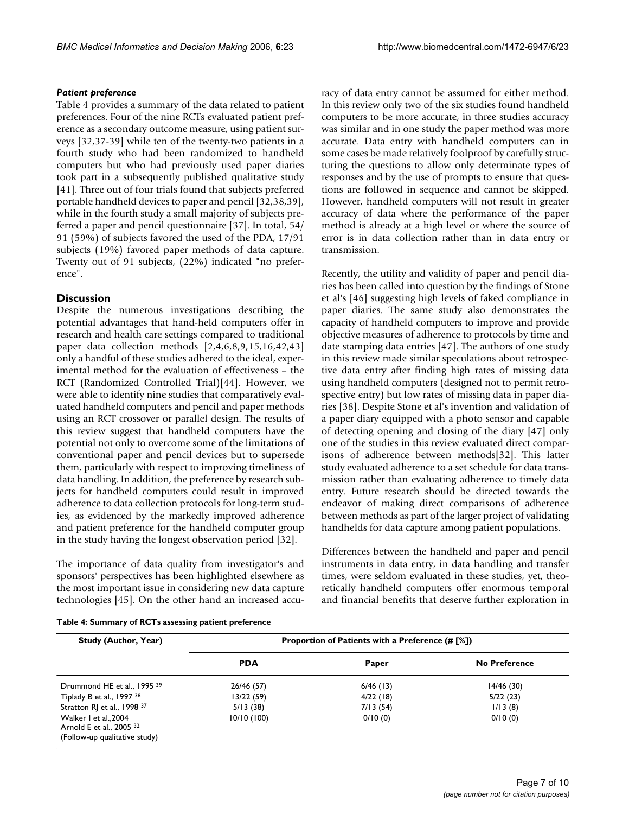#### *Patient preference*

Table 4 provides a summary of the data related to patient preferences. Four of the nine RCTs evaluated patient preference as a secondary outcome measure, using patient surveys [32,37-39] while ten of the twenty-two patients in a fourth study who had been randomized to handheld computers but who had previously used paper diaries took part in a subsequently published qualitative study [41]. Three out of four trials found that subjects preferred portable handheld devices to paper and pencil [32,38,39], while in the fourth study a small majority of subjects preferred a paper and pencil questionnaire [37]. In total, 54/ 91 (59%) of subjects favored the used of the PDA, 17/91 subjects (19%) favored paper methods of data capture. Twenty out of 91 subjects, (22%) indicated "no preference".

### **Discussion**

Despite the numerous investigations describing the potential advantages that hand-held computers offer in research and health care settings compared to traditional paper data collection methods [2,4,6,8,9,15,16,42,43] only a handful of these studies adhered to the ideal, experimental method for the evaluation of effectiveness – the RCT (Randomized Controlled Trial)[44]. However, we were able to identify nine studies that comparatively evaluated handheld computers and pencil and paper methods using an RCT crossover or parallel design. The results of this review suggest that handheld computers have the potential not only to overcome some of the limitations of conventional paper and pencil devices but to supersede them, particularly with respect to improving timeliness of data handling. In addition, the preference by research subjects for handheld computers could result in improved adherence to data collection protocols for long-term studies, as evidenced by the markedly improved adherence and patient preference for the handheld computer group in the study having the longest observation period [32].

The importance of data quality from investigator's and sponsors' perspectives has been highlighted elsewhere as the most important issue in considering new data capture technologies [45]. On the other hand an increased accuracy of data entry cannot be assumed for either method. In this review only two of the six studies found handheld computers to be more accurate, in three studies accuracy was similar and in one study the paper method was more accurate. Data entry with handheld computers can in some cases be made relatively foolproof by carefully structuring the questions to allow only determinate types of responses and by the use of prompts to ensure that questions are followed in sequence and cannot be skipped. However, handheld computers will not result in greater accuracy of data where the performance of the paper method is already at a high level or where the source of error is in data collection rather than in data entry or transmission.

Recently, the utility and validity of paper and pencil diaries has been called into question by the findings of Stone et al's [46] suggesting high levels of faked compliance in paper diaries. The same study also demonstrates the capacity of handheld computers to improve and provide objective measures of adherence to protocols by time and date stamping data entries [47]. The authors of one study in this review made similar speculations about retrospective data entry after finding high rates of missing data using handheld computers (designed not to permit retrospective entry) but low rates of missing data in paper diaries [38]. Despite Stone et al's invention and validation of a paper diary equipped with a photo sensor and capable of detecting opening and closing of the diary [47] only one of the studies in this review evaluated direct comparisons of adherence between methods[32]. This latter study evaluated adherence to a set schedule for data transmission rather than evaluating adherence to timely data entry. Future research should be directed towards the endeavor of making direct comparisons of adherence between methods as part of the larger project of validating handhelds for data capture among patient populations.

Differences between the handheld and paper and pencil instruments in data entry, in data handling and transfer times, were seldom evaluated in these studies, yet, theoretically handheld computers offer enormous temporal and financial benefits that deserve further exploration in

| Table 4: Summary of RCTs assessing patient preference |  |  |  |
|-------------------------------------------------------|--|--|--|
|-------------------------------------------------------|--|--|--|

| Study (Author, Year)                                                               | Proportion of Patients with a Preference $(\# \lceil \% \rceil)$ |          |               |  |  |
|------------------------------------------------------------------------------------|------------------------------------------------------------------|----------|---------------|--|--|
|                                                                                    | <b>PDA</b>                                                       | Paper    | No Preference |  |  |
| Drummond HE et al., 1995 39                                                        | 26/46 (57)                                                       | 6/46(13) | 14/46(30)     |  |  |
| Tiplady B et al., 1997 38                                                          | 13/22 (59)                                                       | 4/22(18) | 5/22(23)      |  |  |
| Stratton RJ et al., 1998 37                                                        | 5/13(38)                                                         | 7/13(54) | 1/13(8)       |  |  |
| Walker I et al., 2004<br>Arnold E et al., 2005 32<br>(Follow-up qualitative study) | 10/10(100)                                                       | 0/10(0)  | 0/10(0)       |  |  |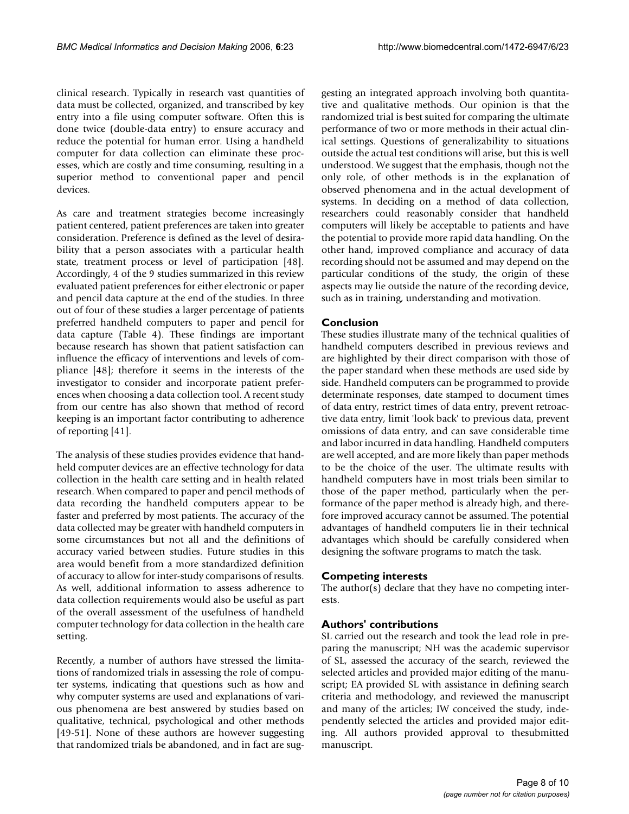clinical research. Typically in research vast quantities of data must be collected, organized, and transcribed by key entry into a file using computer software. Often this is done twice (double-data entry) to ensure accuracy and reduce the potential for human error. Using a handheld computer for data collection can eliminate these processes, which are costly and time consuming, resulting in a superior method to conventional paper and pencil devices.

As care and treatment strategies become increasingly patient centered, patient preferences are taken into greater consideration. Preference is defined as the level of desirability that a person associates with a particular health state, treatment process or level of participation [48]. Accordingly, 4 of the 9 studies summarized in this review evaluated patient preferences for either electronic or paper and pencil data capture at the end of the studies. In three out of four of these studies a larger percentage of patients preferred handheld computers to paper and pencil for data capture (Table 4). These findings are important because research has shown that patient satisfaction can influence the efficacy of interventions and levels of compliance [48]; therefore it seems in the interests of the investigator to consider and incorporate patient preferences when choosing a data collection tool. A recent study from our centre has also shown that method of record keeping is an important factor contributing to adherence of reporting [41].

The analysis of these studies provides evidence that handheld computer devices are an effective technology for data collection in the health care setting and in health related research. When compared to paper and pencil methods of data recording the handheld computers appear to be faster and preferred by most patients. The accuracy of the data collected may be greater with handheld computers in some circumstances but not all and the definitions of accuracy varied between studies. Future studies in this area would benefit from a more standardized definition of accuracy to allow for inter-study comparisons of results. As well, additional information to assess adherence to data collection requirements would also be useful as part of the overall assessment of the usefulness of handheld computer technology for data collection in the health care setting.

Recently, a number of authors have stressed the limitations of randomized trials in assessing the role of computer systems, indicating that questions such as how and why computer systems are used and explanations of various phenomena are best answered by studies based on qualitative, technical, psychological and other methods [49-51]. None of these authors are however suggesting that randomized trials be abandoned, and in fact are suggesting an integrated approach involving both quantitative and qualitative methods. Our opinion is that the randomized trial is best suited for comparing the ultimate performance of two or more methods in their actual clinical settings. Questions of generalizability to situations outside the actual test conditions will arise, but this is well understood. We suggest that the emphasis, though not the only role, of other methods is in the explanation of observed phenomena and in the actual development of systems. In deciding on a method of data collection, researchers could reasonably consider that handheld computers will likely be acceptable to patients and have the potential to provide more rapid data handling. On the other hand, improved compliance and accuracy of data recording should not be assumed and may depend on the particular conditions of the study, the origin of these aspects may lie outside the nature of the recording device, such as in training, understanding and motivation.

### **Conclusion**

These studies illustrate many of the technical qualities of handheld computers described in previous reviews and are highlighted by their direct comparison with those of the paper standard when these methods are used side by side. Handheld computers can be programmed to provide determinate responses, date stamped to document times of data entry, restrict times of data entry, prevent retroactive data entry, limit 'look back' to previous data, prevent omissions of data entry, and can save considerable time and labor incurred in data handling. Handheld computers are well accepted, and are more likely than paper methods to be the choice of the user. The ultimate results with handheld computers have in most trials been similar to those of the paper method, particularly when the performance of the paper method is already high, and therefore improved accuracy cannot be assumed. The potential advantages of handheld computers lie in their technical advantages which should be carefully considered when designing the software programs to match the task.

#### **Competing interests**

The author(s) declare that they have no competing interests.

#### **Authors' contributions**

SL carried out the research and took the lead role in preparing the manuscript; NH was the academic supervisor of SL, assessed the accuracy of the search, reviewed the selected articles and provided major editing of the manuscript; EA provided SL with assistance in defining search criteria and methodology, and reviewed the manuscript and many of the articles; IW conceived the study, independently selected the articles and provided major editing. All authors provided approval to thesubmitted manuscript.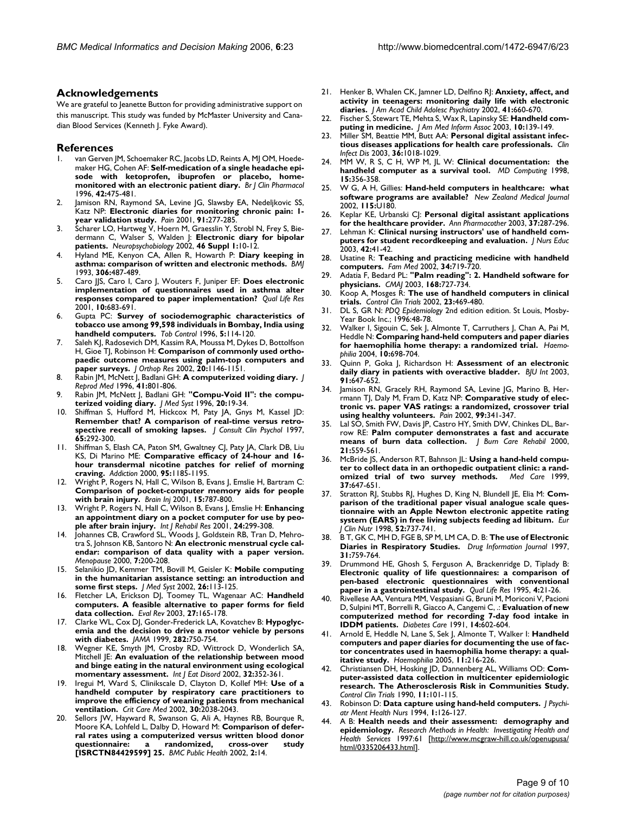#### **Acknowledgements**

We are grateful to Jeanette Button for providing administrative support on this manuscript. This study was funded by McMaster University and Canadian Blood Services (Kenneth J. Fyke Award).

#### **References**

- van Gerven JM, Schoemaker RC, Jacobs LD, Reints A, MJ OM, Hoedemaker HG, Cohen AF: **[Self-medication of a single headache epi](http://www.ncbi.nlm.nih.gov/entrez/query.fcgi?cmd=Retrieve&db=PubMed&dopt=Abstract&list_uids=8904620)[sode with ketoprofen, ibuprofen or placebo, home](http://www.ncbi.nlm.nih.gov/entrez/query.fcgi?cmd=Retrieve&db=PubMed&dopt=Abstract&list_uids=8904620)[monitored with an electronic patient diary.](http://www.ncbi.nlm.nih.gov/entrez/query.fcgi?cmd=Retrieve&db=PubMed&dopt=Abstract&list_uids=8904620)** *Br J Clin Pharmacol* 1996, **42:**475-481.
- 2. Jamison RN, Raymond SA, Levine JG, Slawsby EA, Nedeljkovic SS, Katz NP: **[Electronic diaries for monitoring chronic pain: 1](http://www.ncbi.nlm.nih.gov/entrez/query.fcgi?cmd=Retrieve&db=PubMed&dopt=Abstract&list_uids=11275385) [year validation study.](http://www.ncbi.nlm.nih.gov/entrez/query.fcgi?cmd=Retrieve&db=PubMed&dopt=Abstract&list_uids=11275385)** *Pain* 2001, **91:**277-285.
- 3. Scharer LO, Hartweg V, Hoern M, Graesslin Y, Strobl N, Frey S, Biedermann C, Walser S, Walden J: **[Electronic diary for bipolar](http://www.ncbi.nlm.nih.gov/entrez/query.fcgi?cmd=Retrieve&db=PubMed&dopt=Abstract&list_uids=12571426) [patients.](http://www.ncbi.nlm.nih.gov/entrez/query.fcgi?cmd=Retrieve&db=PubMed&dopt=Abstract&list_uids=12571426)** *Neuropsychobiology* 2002, **46 Suppl 1:**10-12.
- 4. Hyland ME, Kenyon CA, Allen R, Howarth P: **[Diary keeping in](http://www.ncbi.nlm.nih.gov/entrez/query.fcgi?cmd=Retrieve&db=PubMed&dopt=Abstract&list_uids=8448458) [asthma: comparison of written and electronic methods.](http://www.ncbi.nlm.nih.gov/entrez/query.fcgi?cmd=Retrieve&db=PubMed&dopt=Abstract&list_uids=8448458)** *BMJ* 1993, **306:**487-489.
- 5. Caro JJS, Caro I, Caro J, Wouters F, Juniper EF: **[Does electronic](http://www.ncbi.nlm.nih.gov/entrez/query.fcgi?cmd=Retrieve&db=PubMed&dopt=Abstract&list_uids=11871589) [implementation of questionnaires used in asthma alter](http://www.ncbi.nlm.nih.gov/entrez/query.fcgi?cmd=Retrieve&db=PubMed&dopt=Abstract&list_uids=11871589) [responses compared to paper implementation?](http://www.ncbi.nlm.nih.gov/entrez/query.fcgi?cmd=Retrieve&db=PubMed&dopt=Abstract&list_uids=11871589)** *Qual Life Res* 2001, **10:**683-691.
- 6. Gupta PC: **[Survey of sociodemographic characteristics of](http://www.ncbi.nlm.nih.gov/entrez/query.fcgi?cmd=Retrieve&db=PubMed&dopt=Abstract&list_uids=8910992) [tobacco use among 99,598 individuals in Bombay, India using](http://www.ncbi.nlm.nih.gov/entrez/query.fcgi?cmd=Retrieve&db=PubMed&dopt=Abstract&list_uids=8910992) [handheld computers.](http://www.ncbi.nlm.nih.gov/entrez/query.fcgi?cmd=Retrieve&db=PubMed&dopt=Abstract&list_uids=8910992)** *Tob Control* 1996, **5:**114-120.
- 7. Saleh KJ, Radosevich DM, Kassim RA, Moussa M, Dykes D, Bottolfson H, Gioe TJ, Robinson H: **[Comparison of commonly used ortho](http://www.ncbi.nlm.nih.gov/entrez/query.fcgi?cmd=Retrieve&db=PubMed&dopt=Abstract&list_uids=12472221)[paedic outcome measures using palm-top computers and](http://www.ncbi.nlm.nih.gov/entrez/query.fcgi?cmd=Retrieve&db=PubMed&dopt=Abstract&list_uids=12472221) [paper surveys.](http://www.ncbi.nlm.nih.gov/entrez/query.fcgi?cmd=Retrieve&db=PubMed&dopt=Abstract&list_uids=12472221)** *J Orthop Res* 2002, **20:**1146-1151.
- 8. Rabin JM, McNett J, Badlani GH: **[A computerized voiding diary.](http://www.ncbi.nlm.nih.gov/entrez/query.fcgi?cmd=Retrieve&db=PubMed&dopt=Abstract&list_uids=8951128)** *J Reprod Med* 1996, **41:**801-806.
- 9. Rabin JM, McNett J, Badlani GH: **["Compu-Void II": the compu](http://www.ncbi.nlm.nih.gov/entrez/query.fcgi?cmd=Retrieve&db=PubMed&dopt=Abstract&list_uids=8708489)[terized voiding diary.](http://www.ncbi.nlm.nih.gov/entrez/query.fcgi?cmd=Retrieve&db=PubMed&dopt=Abstract&list_uids=8708489)** *J Med Syst* 1996, **20:**19-34.
- 10. Shiffman S, Hufford M, Hickcox M, Paty JA, Gnys M, Kassel JD: **[Remember that? A comparison of real-time versus retro](http://www.ncbi.nlm.nih.gov/entrez/query.fcgi?cmd=Retrieve&db=PubMed&dopt=Abstract&list_uids=9086693)[spective recall of smoking lapses.](http://www.ncbi.nlm.nih.gov/entrez/query.fcgi?cmd=Retrieve&db=PubMed&dopt=Abstract&list_uids=9086693)** *J Consult Clin Psychol* 1997, **65:**292-300.
- 11. Shiffman S, Elash CA, Paton SM, Gwaltney CJ, Paty JA, Clark DB, Liu KS, Di Marino ME: **[Comparative efficacy of 24-hour and 16](http://www.ncbi.nlm.nih.gov/entrez/query.fcgi?cmd=Retrieve&db=PubMed&dopt=Abstract&list_uids=11092066) [hour transdermal nicotine patches for relief of morning](http://www.ncbi.nlm.nih.gov/entrez/query.fcgi?cmd=Retrieve&db=PubMed&dopt=Abstract&list_uids=11092066) [craving.](http://www.ncbi.nlm.nih.gov/entrez/query.fcgi?cmd=Retrieve&db=PubMed&dopt=Abstract&list_uids=11092066)** *Addiction* 2000, **95:**1185-1195.
- 12. Wright P, Rogers N, Hall C, Wilson B, Evans J, Emslie H, Bartram C: **[Comparison of pocket-computer memory aids for people](http://www.ncbi.nlm.nih.gov/entrez/query.fcgi?cmd=Retrieve&db=PubMed&dopt=Abstract&list_uids=11516347) [with brain injury.](http://www.ncbi.nlm.nih.gov/entrez/query.fcgi?cmd=Retrieve&db=PubMed&dopt=Abstract&list_uids=11516347)** *Brain Inj* 2001, **15:**787-800.
- 13. Wright P, Rogers N, Hall C, Wilson B, Evans J, Emslie H: **[Enhancing](http://www.ncbi.nlm.nih.gov/entrez/query.fcgi?cmd=Retrieve&db=PubMed&dopt=Abstract&list_uids=11775034) [an appointment diary on a pocket computer for use by peo](http://www.ncbi.nlm.nih.gov/entrez/query.fcgi?cmd=Retrieve&db=PubMed&dopt=Abstract&list_uids=11775034)[ple after brain injury.](http://www.ncbi.nlm.nih.gov/entrez/query.fcgi?cmd=Retrieve&db=PubMed&dopt=Abstract&list_uids=11775034)** *Int J Rehabil Res* 2001, **24:**299-308.
- 14. Johannes CB, Crawford SL, Woods J, Goldstein RB, Tran D, Mehrotra S, Johnson KB, Santoro N: **[An electronic menstrual cycle cal](http://www.ncbi.nlm.nih.gov/entrez/query.fcgi?cmd=Retrieve&db=PubMed&dopt=Abstract&list_uids=10810966)[endar: comparison of data quality with a paper version.](http://www.ncbi.nlm.nih.gov/entrez/query.fcgi?cmd=Retrieve&db=PubMed&dopt=Abstract&list_uids=10810966)** *Menopause* 2000, **7:**200-208.
- 15. Selanikio JD, Kemmer TM, Bovill M, Geisler K: **[Mobile computing](http://www.ncbi.nlm.nih.gov/entrez/query.fcgi?cmd=Retrieve&db=PubMed&dopt=Abstract&list_uids=11993568) [in the humanitarian assistance setting: an introduction and](http://www.ncbi.nlm.nih.gov/entrez/query.fcgi?cmd=Retrieve&db=PubMed&dopt=Abstract&list_uids=11993568) [some first steps.](http://www.ncbi.nlm.nih.gov/entrez/query.fcgi?cmd=Retrieve&db=PubMed&dopt=Abstract&list_uids=11993568)** *J Med Syst* 2002, **26:**113-125.
- 16. Fletcher LA, Erickson DJ, Toomey TL, Wagenaar AC: **[Handheld](http://www.ncbi.nlm.nih.gov/entrez/query.fcgi?cmd=Retrieve&db=PubMed&dopt=Abstract&list_uids=12703341) [computers. A feasible alternative to paper forms for field](http://www.ncbi.nlm.nih.gov/entrez/query.fcgi?cmd=Retrieve&db=PubMed&dopt=Abstract&list_uids=12703341) [data collection.](http://www.ncbi.nlm.nih.gov/entrez/query.fcgi?cmd=Retrieve&db=PubMed&dopt=Abstract&list_uids=12703341)** *Eval Rev* 2003, **27:**165-178.
- 17. Clarke WL, Cox DJ, Gonder-Frederick LA, Kovatchev B: **[Hypoglyc](http://www.ncbi.nlm.nih.gov/entrez/query.fcgi?cmd=Retrieve&db=PubMed&dopt=Abstract&list_uids=10463710)[emia and the decision to drive a motor vehicle by persons](http://www.ncbi.nlm.nih.gov/entrez/query.fcgi?cmd=Retrieve&db=PubMed&dopt=Abstract&list_uids=10463710) [with diabetes.](http://www.ncbi.nlm.nih.gov/entrez/query.fcgi?cmd=Retrieve&db=PubMed&dopt=Abstract&list_uids=10463710)** *JAMA* 1999, **282:**750-754.
- 18. Wegner KE, Smyth JM, Crosby RD, Wittrock D, Wonderlich SA, Mitchell JE: **[An evaluation of the relationship between mood](http://www.ncbi.nlm.nih.gov/entrez/query.fcgi?cmd=Retrieve&db=PubMed&dopt=Abstract&list_uids=12210650) [and binge eating in the natural environment using ecological](http://www.ncbi.nlm.nih.gov/entrez/query.fcgi?cmd=Retrieve&db=PubMed&dopt=Abstract&list_uids=12210650) [momentary assessment.](http://www.ncbi.nlm.nih.gov/entrez/query.fcgi?cmd=Retrieve&db=PubMed&dopt=Abstract&list_uids=12210650)** *Int J Eat Disord* 2002, **32:**352-361.
- 19. Iregui M, Ward S, Clinikscale D, Clayton D, Kollef MH: **[Use of a](http://www.ncbi.nlm.nih.gov/entrez/query.fcgi?cmd=Retrieve&db=PubMed&dopt=Abstract&list_uids=12352038) handheld computer by respiratory care practitioners to [improve the efficiency of weaning patients from mechanical](http://www.ncbi.nlm.nih.gov/entrez/query.fcgi?cmd=Retrieve&db=PubMed&dopt=Abstract&list_uids=12352038) [ventilation.](http://www.ncbi.nlm.nih.gov/entrez/query.fcgi?cmd=Retrieve&db=PubMed&dopt=Abstract&list_uids=12352038)** *Crit Care Med* 2002, **30:**2038-2043.
- 20. Sellors JW, Hayward R, Swanson G, Ali A, Haynes RB, Bourque R, Moore KA, Lohfeld L, Dalby D, Howard M: **[Comparison of defer](http://www.ncbi.nlm.nih.gov/entrez/query.fcgi?cmd=Retrieve&db=PubMed&dopt=Abstract&list_uids=12191432)ral rates using a computerized versus written blood donor [questionnaire: a randomized, cross-over study](http://www.ncbi.nlm.nih.gov/entrez/query.fcgi?cmd=Retrieve&db=PubMed&dopt=Abstract&list_uids=12191432) [\[ISRCTN84429599\] 25.](http://www.ncbi.nlm.nih.gov/entrez/query.fcgi?cmd=Retrieve&db=PubMed&dopt=Abstract&list_uids=12191432)** *BMC Public Health* 2002, **2:**14.
- 21. Henker B, Whalen CK, Jamner LD, Delfino RJ: **[Anxiety, affect, and](http://www.ncbi.nlm.nih.gov/entrez/query.fcgi?cmd=Retrieve&db=PubMed&dopt=Abstract&list_uids=12049440) [activity in teenagers: monitoring daily life with electronic](http://www.ncbi.nlm.nih.gov/entrez/query.fcgi?cmd=Retrieve&db=PubMed&dopt=Abstract&list_uids=12049440) [diaries.](http://www.ncbi.nlm.nih.gov/entrez/query.fcgi?cmd=Retrieve&db=PubMed&dopt=Abstract&list_uids=12049440)** *J Am Acad Child Adolesc Psychiatry* 2002, **41:**660-670.
- 22. Fischer S, Stewart TE, Mehta S, Wax R, Lapinsky SE: **[Handheld com](http://www.ncbi.nlm.nih.gov/entrez/query.fcgi?cmd=Retrieve&db=PubMed&dopt=Abstract&list_uids=12595403)[puting in medicine.](http://www.ncbi.nlm.nih.gov/entrez/query.fcgi?cmd=Retrieve&db=PubMed&dopt=Abstract&list_uids=12595403)** *J Am Med Inform Assoc* 2003, **10:**139-149.
- 23. Miller SM, Beattie MM, Butt AA: **[Personal digital assistant infec](http://www.ncbi.nlm.nih.gov/entrez/query.fcgi?cmd=Retrieve&db=PubMed&dopt=Abstract&list_uids=12684915)[tious diseases applications for health care professionals.](http://www.ncbi.nlm.nih.gov/entrez/query.fcgi?cmd=Retrieve&db=PubMed&dopt=Abstract&list_uids=12684915)** *Clin Infect Dis* 2003, **36:**1018-1029.
- 24. MM W, R S, C H, WP M, JL W: **Clinical documentation: the handheld computer as a survival tool.** *MD Computing* 1998, **15:**356-358.
- 25. W G, A H, Gillies: **[Hand-held computers in healthcare: what](http://www.ncbi.nlm.nih.gov/entrez/query.fcgi?cmd=Retrieve&db=PubMed&dopt=Abstract&list_uids=12386659) [software programs are available?](http://www.ncbi.nlm.nih.gov/entrez/query.fcgi?cmd=Retrieve&db=PubMed&dopt=Abstract&list_uids=12386659)** *New Zealand Medical Journal* 2002, **115:**U180.
- 26. Keplar KE, Urbanski CJ: [Personal digital assistant applications](http://www.ncbi.nlm.nih.gov/entrez/query.fcgi?cmd=Retrieve&db=PubMed&dopt=Abstract&list_uids=12549963) **[for the healthcare provider.](http://www.ncbi.nlm.nih.gov/entrez/query.fcgi?cmd=Retrieve&db=PubMed&dopt=Abstract&list_uids=12549963)** *Ann Pharmacother* 2003, **37:**287-296.
- 27. Lehman K: **[Clinical nursing instructors' use of handheld com](http://www.ncbi.nlm.nih.gov/entrez/query.fcgi?cmd=Retrieve&db=PubMed&dopt=Abstract&list_uids=12555822)[puters for student recordkeeping and evaluation.](http://www.ncbi.nlm.nih.gov/entrez/query.fcgi?cmd=Retrieve&db=PubMed&dopt=Abstract&list_uids=12555822)** *J Nurs Educ* 2003, **42:**41-42.
- 28. Usatine R: **[Teaching and practicing medicine with handheld](http://www.ncbi.nlm.nih.gov/entrez/query.fcgi?cmd=Retrieve&db=PubMed&dopt=Abstract&list_uids=12448637) [computers.](http://www.ncbi.nlm.nih.gov/entrez/query.fcgi?cmd=Retrieve&db=PubMed&dopt=Abstract&list_uids=12448637)** *Fam Med* 2002, **34:**719-720.
- 29. Adatia F, Bedard PL: **["Palm reading": 2. Handheld software for](http://www.ncbi.nlm.nih.gov/entrez/query.fcgi?cmd=Retrieve&db=PubMed&dopt=Abstract&list_uids=12642430) [physicians.](http://www.ncbi.nlm.nih.gov/entrez/query.fcgi?cmd=Retrieve&db=PubMed&dopt=Abstract&list_uids=12642430)** *CMAJ* 2003, **168:**727-734.
- 30. Koop A, Mosges R: **[The use of handheld computers in clinical](http://www.ncbi.nlm.nih.gov/entrez/query.fcgi?cmd=Retrieve&db=PubMed&dopt=Abstract&list_uids=12392861) [trials.](http://www.ncbi.nlm.nih.gov/entrez/query.fcgi?cmd=Retrieve&db=PubMed&dopt=Abstract&list_uids=12392861)** *Control Clin Trials* 2002, **23:**469-480.
- 31. DL S, GR N: *PDQ Epidemiology* 2nd edition edition. St Louis, Mosby-Year Book Inc.; 1996:48-78.
- 32. Walker I, Sigouin C, Sek J, Almonte T, Carruthers J, Chan A, Pai M, Heddle N: **[Comparing hand-held computers and paper diaries](http://www.ncbi.nlm.nih.gov/entrez/query.fcgi?cmd=Retrieve&db=PubMed&dopt=Abstract&list_uids=15569164) [for haemophilia home therapy: a randomized trial.](http://www.ncbi.nlm.nih.gov/entrez/query.fcgi?cmd=Retrieve&db=PubMed&dopt=Abstract&list_uids=15569164)** *Haemophilia* 2004, **10:**698-704.
- 33. Quinn P, Goka J, Richardson H: **[Assessment of an electronic](http://www.ncbi.nlm.nih.gov/entrez/query.fcgi?cmd=Retrieve&db=PubMed&dopt=Abstract&list_uids=12699477) [daily diary in patients with overactive bladder.](http://www.ncbi.nlm.nih.gov/entrez/query.fcgi?cmd=Retrieve&db=PubMed&dopt=Abstract&list_uids=12699477)** *BJU Int* 2003, **91:**647-652.
- 34. Jamison RN, Gracely RH, Raymond SA, Levine JG, Marino B, Herrmann TJ, Daly M, Fram D, Katz NP: **[Comparative study of elec](http://www.ncbi.nlm.nih.gov/entrez/query.fcgi?cmd=Retrieve&db=PubMed&dopt=Abstract&list_uids=12237213)[tronic vs. paper VAS ratings: a randomized, crossover trial](http://www.ncbi.nlm.nih.gov/entrez/query.fcgi?cmd=Retrieve&db=PubMed&dopt=Abstract&list_uids=12237213) [using healthy volunteers.](http://www.ncbi.nlm.nih.gov/entrez/query.fcgi?cmd=Retrieve&db=PubMed&dopt=Abstract&list_uids=12237213)** *Pain* 2002, **99:**341-347.
- 35. Lal SO, Smith FW, Davis JP, Castro HY, Smith DW, Chinkes DL, Barrow RE: **[Palm computer demonstrates a fast and accurate](http://www.ncbi.nlm.nih.gov/entrez/query.fcgi?cmd=Retrieve&db=PubMed&dopt=Abstract&list_uids=11194811) [means of burn data collection.](http://www.ncbi.nlm.nih.gov/entrez/query.fcgi?cmd=Retrieve&db=PubMed&dopt=Abstract&list_uids=11194811)** *J Burn Care Rehabil* 2000, **21:**559-561.
- 36. McBride JS, Anderson RT, Bahnson JL: **[Using a hand-held compu](http://www.ncbi.nlm.nih.gov/entrez/query.fcgi?cmd=Retrieve&db=PubMed&dopt=Abstract&list_uids=10424635)[ter to collect data in an orthopedic outpatient clinic: a rand](http://www.ncbi.nlm.nih.gov/entrez/query.fcgi?cmd=Retrieve&db=PubMed&dopt=Abstract&list_uids=10424635)[omized trial of two survey methods.](http://www.ncbi.nlm.nih.gov/entrez/query.fcgi?cmd=Retrieve&db=PubMed&dopt=Abstract&list_uids=10424635)** *Med Care* 1999, **37:**647-651.
- 37. Stratton RJ, Stubbs RJ, Hughes D, King N, Blundell JE, Elia M: **[Com](http://www.ncbi.nlm.nih.gov/entrez/query.fcgi?cmd=Retrieve&db=PubMed&dopt=Abstract&list_uids=9805221)parison of the traditional paper visual analogue scale ques[tionnaire with an Apple Newton electronic appetite rating](http://www.ncbi.nlm.nih.gov/entrez/query.fcgi?cmd=Retrieve&db=PubMed&dopt=Abstract&list_uids=9805221) [system \(EARS\) in free living subjects feeding ad libitum.](http://www.ncbi.nlm.nih.gov/entrez/query.fcgi?cmd=Retrieve&db=PubMed&dopt=Abstract&list_uids=9805221)** *Eur J Clin Nutr* 1998, **52:**737-741.
- 38. B T, GK C, MH D, FGE B, SP M, LM CA, D. B: **The use of Electronic Diaries in Respiratory Studies.** *Drug Information Journal* 1997, **31:**759-764.
- 39. Drummond HE, Ghosh S, Ferguson A, Brackenridge D, Tiplady B: **Electronic quality of life questionnaires: a comparison of [pen-based electronic questionnaires with conventional](http://www.ncbi.nlm.nih.gov/entrez/query.fcgi?cmd=Retrieve&db=PubMed&dopt=Abstract&list_uids=7711686) [paper in a gastrointestinal study.](http://www.ncbi.nlm.nih.gov/entrez/query.fcgi?cmd=Retrieve&db=PubMed&dopt=Abstract&list_uids=7711686)** *Qual Life Res* 1995, **4:**21-26.
- 40. Rivellese AA, Ventura MM, Vespasiani G, Bruni M, Moriconi V, Pacioni D, Sulpini MT, Borrelli R, Giacco A, Cangemi C, .: **[Evaluation of new](http://www.ncbi.nlm.nih.gov/entrez/query.fcgi?cmd=Retrieve&db=PubMed&dopt=Abstract&list_uids=1914803) [computerized method for recording 7-day food intake in](http://www.ncbi.nlm.nih.gov/entrez/query.fcgi?cmd=Retrieve&db=PubMed&dopt=Abstract&list_uids=1914803) [IDDM patients.](http://www.ncbi.nlm.nih.gov/entrez/query.fcgi?cmd=Retrieve&db=PubMed&dopt=Abstract&list_uids=1914803)** *Diabetes Care* 1991, **14:**602-604.
- 41. Arnold E, Heddle N, Lane S, Sek J, Almonte T, Walker I: **[Handheld](http://www.ncbi.nlm.nih.gov/entrez/query.fcgi?cmd=Retrieve&db=PubMed&dopt=Abstract&list_uids=15876266) computers and paper diaries for documenting the use of fac[tor concentrates used in haemophilia home therapy: a qual](http://www.ncbi.nlm.nih.gov/entrez/query.fcgi?cmd=Retrieve&db=PubMed&dopt=Abstract&list_uids=15876266)[itative study.](http://www.ncbi.nlm.nih.gov/entrez/query.fcgi?cmd=Retrieve&db=PubMed&dopt=Abstract&list_uids=15876266)** *Haemophilia* 2005, **11:**216-226.
- 42. Christiansen DH, Hosking JD, Dannenberg AL, Williams OD: **[Com](http://www.ncbi.nlm.nih.gov/entrez/query.fcgi?cmd=Retrieve&db=PubMed&dopt=Abstract&list_uids=2161309)puter-assisted data collection in multicenter epidemiologic [research. The Atherosclerosis Risk in Communities Study.](http://www.ncbi.nlm.nih.gov/entrez/query.fcgi?cmd=Retrieve&db=PubMed&dopt=Abstract&list_uids=2161309)** *Control Clin Trials* 1990, **11:**101-115.
- 43. Robinson D: **[Data capture using hand-held computers.](http://www.ncbi.nlm.nih.gov/entrez/query.fcgi?cmd=Retrieve&db=PubMed&dopt=Abstract&list_uids=7728542)** *J Psychiatr Ment Health Nurs* 1994, **1:**126-127.
- 44. A B: **Health needs and their assessment: demography and epidemiology.** *Research Methods in Health: Investigating Health and Health Services* 1997:61 [[http://www.mcgraw-hill.co.uk/openupusa/](http://www.mcgraw-hill.co.uk/openupusa/html/0335206433.html) [html/0335206433.html](http://www.mcgraw-hill.co.uk/openupusa/html/0335206433.html)].